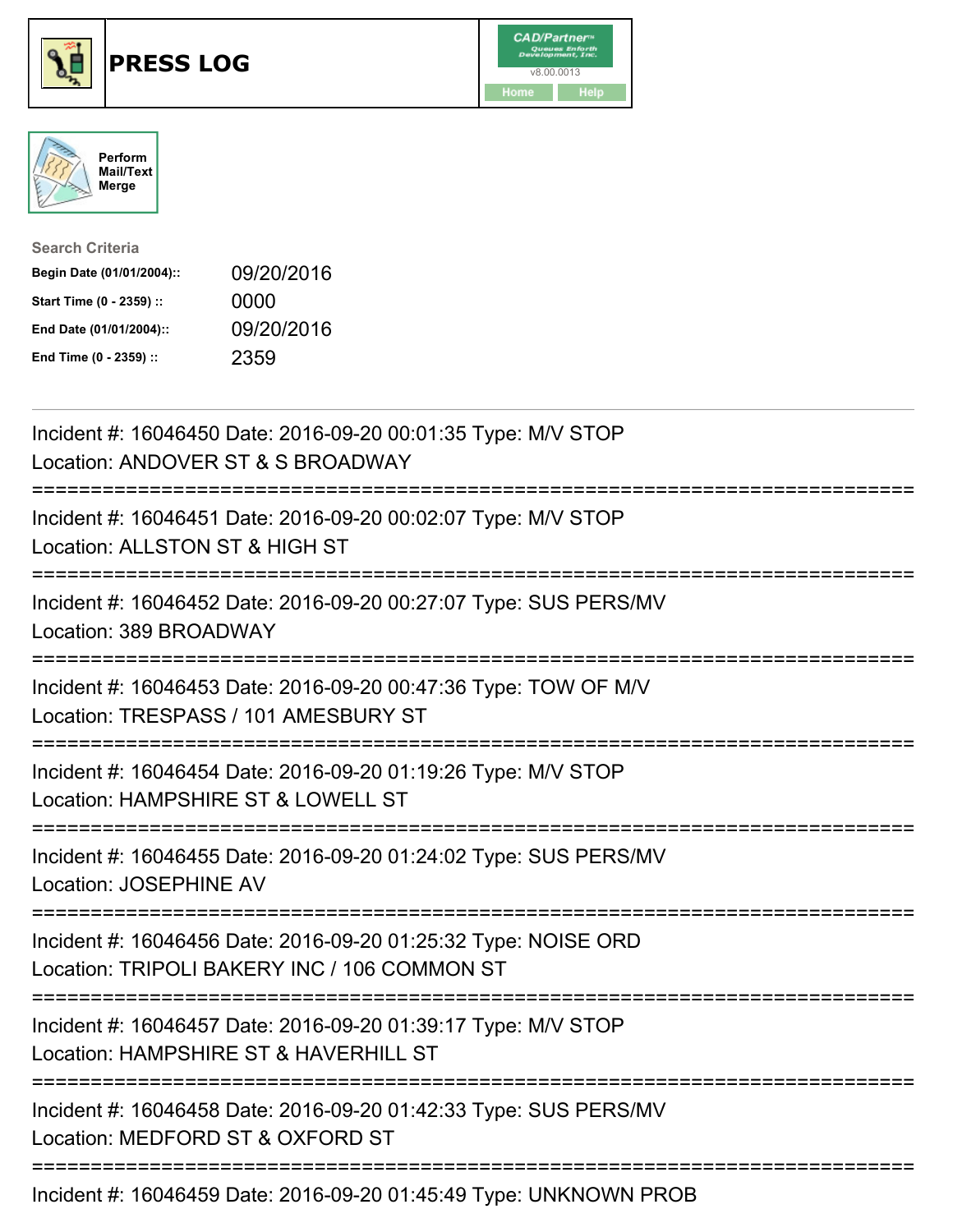





| <b>Search Criteria</b>    |            |
|---------------------------|------------|
| Begin Date (01/01/2004):: | 09/20/2016 |
| Start Time (0 - 2359) ::  | 0000       |
| End Date (01/01/2004)::   | 09/20/2016 |
| End Time (0 - 2359) ::    | 2359       |

| Incident #: 16046450 Date: 2016-09-20 00:01:35 Type: M/V STOP<br>Location: ANDOVER ST & S BROADWAY                                                                 |
|--------------------------------------------------------------------------------------------------------------------------------------------------------------------|
| Incident #: 16046451 Date: 2016-09-20 00:02:07 Type: M/V STOP<br>Location: ALLSTON ST & HIGH ST                                                                    |
| Incident #: 16046452 Date: 2016-09-20 00:27:07 Type: SUS PERS/MV<br>Location: 389 BROADWAY<br>:================                                                    |
| Incident #: 16046453 Date: 2016-09-20 00:47:36 Type: TOW OF M/V<br>Location: TRESPASS / 101 AMESBURY ST                                                            |
| Incident #: 16046454 Date: 2016-09-20 01:19:26 Type: M/V STOP<br>Location: HAMPSHIRE ST & LOWELL ST<br>:=======================                                    |
| Incident #: 16046455 Date: 2016-09-20 01:24:02 Type: SUS PERS/MV<br>Location: JOSEPHINE AV                                                                         |
| Incident #: 16046456 Date: 2016-09-20 01:25:32 Type: NOISE ORD<br>Location: TRIPOLI BAKERY INC / 106 COMMON ST<br>:=============================<br>============== |
| Incident #: 16046457 Date: 2016-09-20 01:39:17 Type: M/V STOP<br>Location: HAMPSHIRE ST & HAVERHILL ST                                                             |
| ===============================<br>=======================<br>Incident #: 16046458 Date: 2016-09-20 01:42:33 Type: SUS PERS/MV<br>Location: MEDFORD ST & OXFORD ST |
| Incident #: 16046459 Date: 2016-09-20 01:45:49 Type: UNKNOWN PROB                                                                                                  |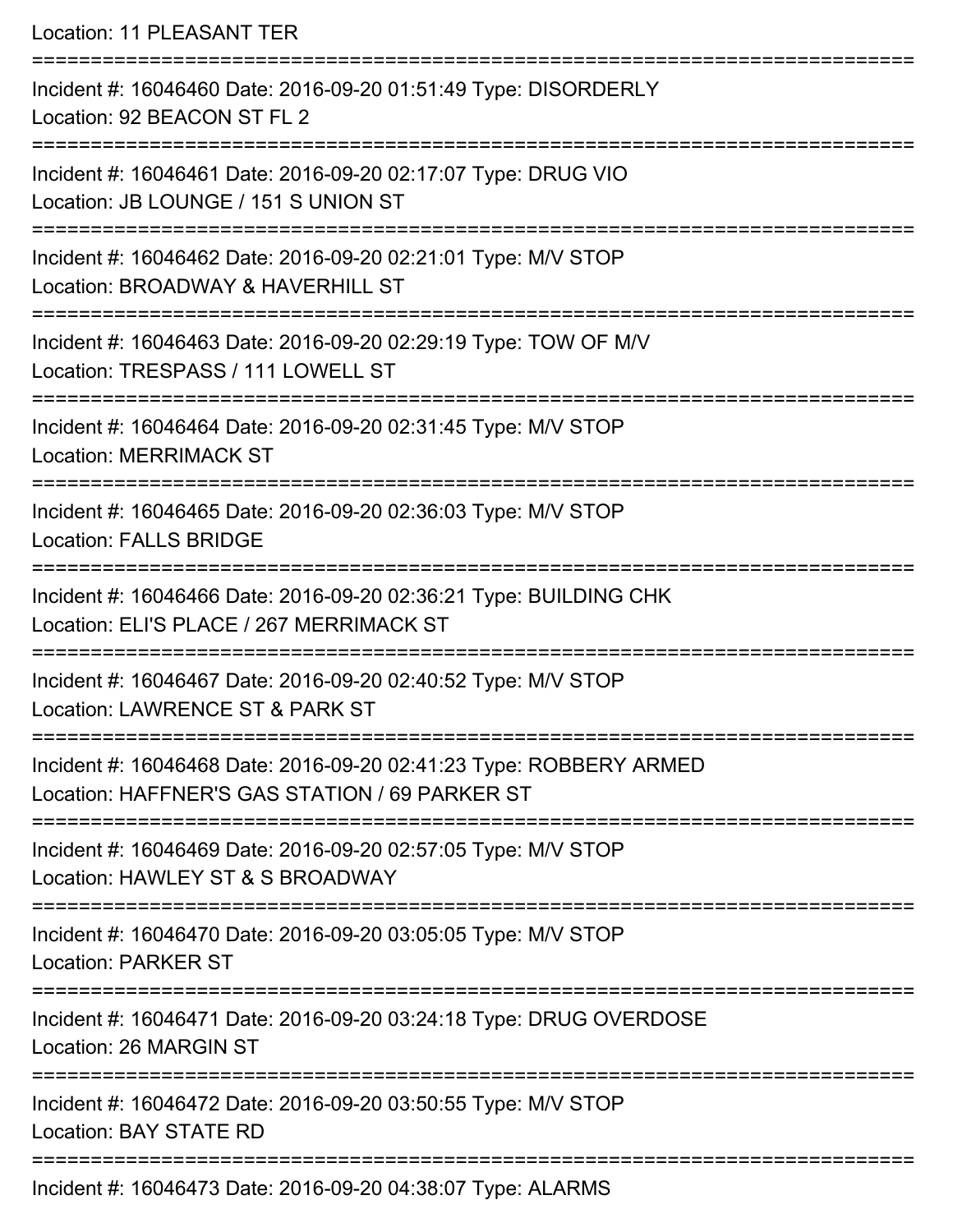Location: 11 PLEASANT TER =========================================================================== Incident #: 16046460 Date: 2016-09-20 01:51:49 Type: DISORDERLY Location: 92 BEACON ST FL 2 =========================================================================== Incident #: 16046461 Date: 2016-09-20 02:17:07 Type: DRUG VIO Location: JB LOUNGE / 151 S UNION ST =========================================================================== Incident #: 16046462 Date: 2016-09-20 02:21:01 Type: M/V STOP Location: BROADWAY & HAVERHILL ST =========================================================================== Incident #: 16046463 Date: 2016-09-20 02:29:19 Type: TOW OF M/V Location: TRESPASS / 111 LOWELL ST =========================================================================== Incident #: 16046464 Date: 2016-09-20 02:31:45 Type: M/V STOP Location: MERRIMACK ST =========================================================================== Incident #: 16046465 Date: 2016-09-20 02:36:03 Type: M/V STOP Location: FALLS BRIDGE =========================================================================== Incident #: 16046466 Date: 2016-09-20 02:36:21 Type: BUILDING CHK Location: ELI'S PLACE / 267 MERRIMACK ST =========================================================================== Incident #: 16046467 Date: 2016-09-20 02:40:52 Type: M/V STOP Location: LAWRENCE ST & PARK ST =========================================================================== Incident #: 16046468 Date: 2016-09-20 02:41:23 Type: ROBBERY ARMED Location: HAFFNER'S GAS STATION / 69 PARKER ST

===========================================================================

Incident #: 16046469 Date: 2016-09-20 02:57:05 Type: M/V STOP

Location: HAWLEY ST & S BROADWAY

===========================================================================

Incident #: 16046470 Date: 2016-09-20 03:05:05 Type: M/V STOP Location: PARKER ST

===========================================================================

Incident #: 16046471 Date: 2016-09-20 03:24:18 Type: DRUG OVERDOSE

Location: 26 MARGIN ST

===========================================================================

Incident #: 16046472 Date: 2016-09-20 03:50:55 Type: M/V STOP

Location: BAY STATE RD

===========================================================================

Incident #: 16046473 Date: 2016-09-20 04:38:07 Type: ALARMS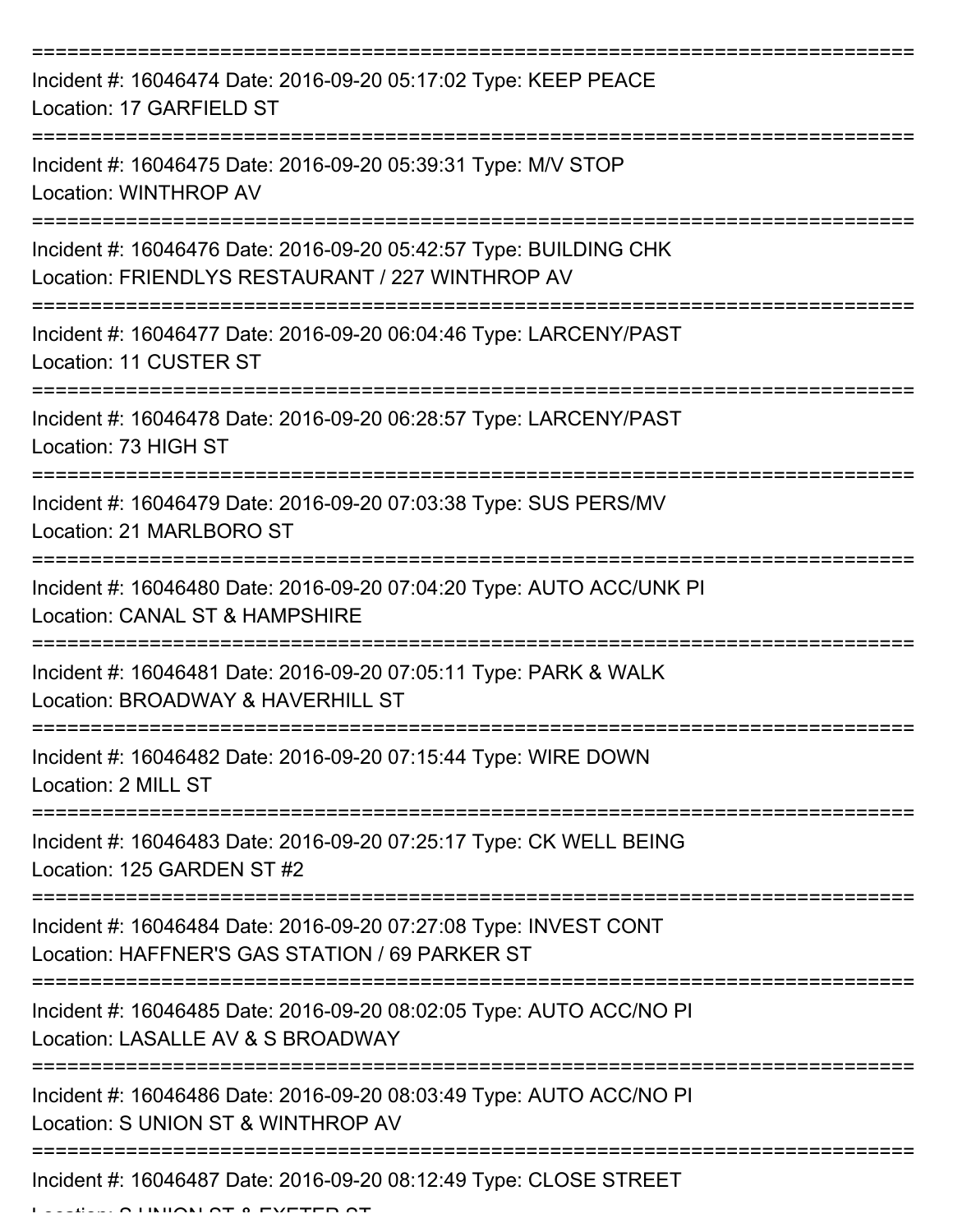| Incident #: 16046474 Date: 2016-09-20 05:17:02 Type: KEEP PEACE<br>Location: 17 GARFIELD ST                                                 |
|---------------------------------------------------------------------------------------------------------------------------------------------|
| Incident #: 16046475 Date: 2016-09-20 05:39:31 Type: M/V STOP<br><b>Location: WINTHROP AV</b>                                               |
| Incident #: 16046476 Date: 2016-09-20 05:42:57 Type: BUILDING CHK<br>Location: FRIENDLYS RESTAURANT / 227 WINTHROP AV<br>------------------ |
| Incident #: 16046477 Date: 2016-09-20 06:04:46 Type: LARCENY/PAST<br>Location: 11 CUSTER ST                                                 |
| Incident #: 16046478 Date: 2016-09-20 06:28:57 Type: LARCENY/PAST<br>Location: 73 HIGH ST                                                   |
| Incident #: 16046479 Date: 2016-09-20 07:03:38 Type: SUS PERS/MV<br>Location: 21 MARLBORO ST                                                |
| Incident #: 16046480 Date: 2016-09-20 07:04:20 Type: AUTO ACC/UNK PI<br>Location: CANAL ST & HAMPSHIRE                                      |
| Incident #: 16046481 Date: 2016-09-20 07:05:11 Type: PARK & WALK<br>Location: BROADWAY & HAVERHILL ST                                       |
| Incident #: 16046482 Date: 2016-09-20 07:15:44 Type: WIRE DOWN<br>Location: 2 MILL ST                                                       |
| Incident #: 16046483 Date: 2016-09-20 07:25:17 Type: CK WELL BEING<br>Location: 125 GARDEN ST #2                                            |
| Incident #: 16046484 Date: 2016-09-20 07:27:08 Type: INVEST CONT<br>Location: HAFFNER'S GAS STATION / 69 PARKER ST                          |
| Incident #: 16046485 Date: 2016-09-20 08:02:05 Type: AUTO ACC/NO PI<br>Location: LASALLE AV & S BROADWAY                                    |
| Incident #: 16046486 Date: 2016-09-20 08:03:49 Type: AUTO ACC/NO PI<br>Location: S UNION ST & WINTHROP AV                                   |
| Incident #: 16046487 Date: 2016-09-20 08:12:49 Type: CLOSE STREET                                                                           |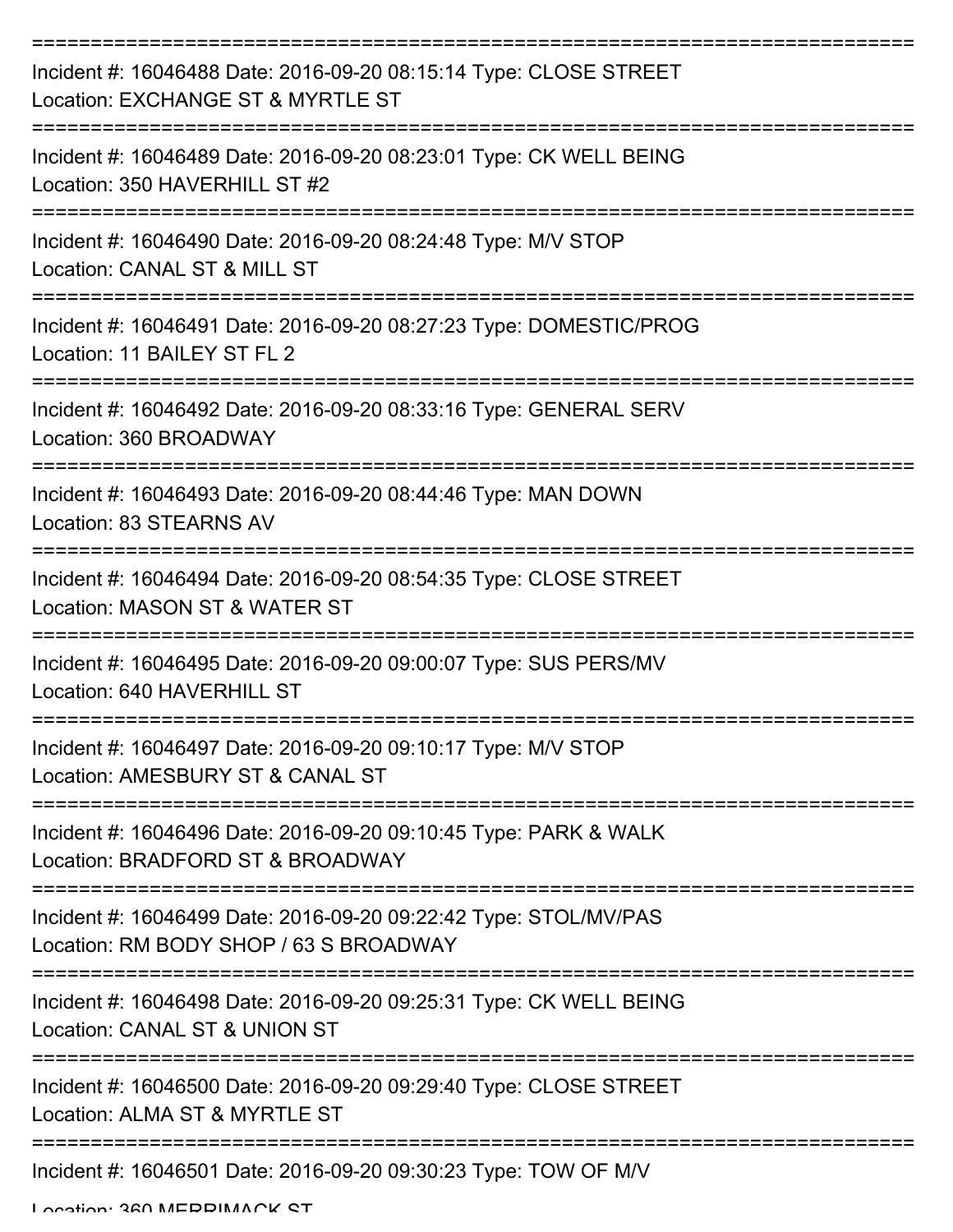| Incident #: 16046488 Date: 2016-09-20 08:15:14 Type: CLOSE STREET<br>Location: EXCHANGE ST & MYRTLE ST      |
|-------------------------------------------------------------------------------------------------------------|
| Incident #: 16046489 Date: 2016-09-20 08:23:01 Type: CK WELL BEING<br>Location: 350 HAVERHILL ST #2         |
| Incident #: 16046490 Date: 2016-09-20 08:24:48 Type: M/V STOP<br>Location: CANAL ST & MILL ST<br>---------- |
| Incident #: 16046491 Date: 2016-09-20 08:27:23 Type: DOMESTIC/PROG<br>Location: 11 BAILEY ST FL 2           |
| Incident #: 16046492 Date: 2016-09-20 08:33:16 Type: GENERAL SERV<br>Location: 360 BROADWAY                 |
| Incident #: 16046493 Date: 2016-09-20 08:44:46 Type: MAN DOWN<br>Location: 83 STEARNS AV                    |
| Incident #: 16046494 Date: 2016-09-20 08:54:35 Type: CLOSE STREET<br>Location: MASON ST & WATER ST          |
| Incident #: 16046495 Date: 2016-09-20 09:00:07 Type: SUS PERS/MV<br>Location: 640 HAVERHILL ST              |
| Incident #: 16046497 Date: 2016-09-20 09:10:17 Type: M/V STOP<br>Location: AMESBURY ST & CANAL ST           |
| Incident #: 16046496 Date: 2016-09-20 09:10:45 Type: PARK & WALK<br>Location: BRADFORD ST & BROADWAY        |
| Incident #: 16046499 Date: 2016-09-20 09:22:42 Type: STOL/MV/PAS<br>Location: RM BODY SHOP / 63 S BROADWAY  |
| Incident #: 16046498 Date: 2016-09-20 09:25:31 Type: CK WELL BEING<br>Location: CANAL ST & UNION ST         |
| Incident #: 16046500 Date: 2016-09-20 09:29:40 Type: CLOSE STREET<br>Location: ALMA ST & MYRTLE ST          |
| Incident #: 16046501 Date: 2016-09-20 09:30:23 Type: TOW OF M/V                                             |

Location: 260 MEDDIMACK ST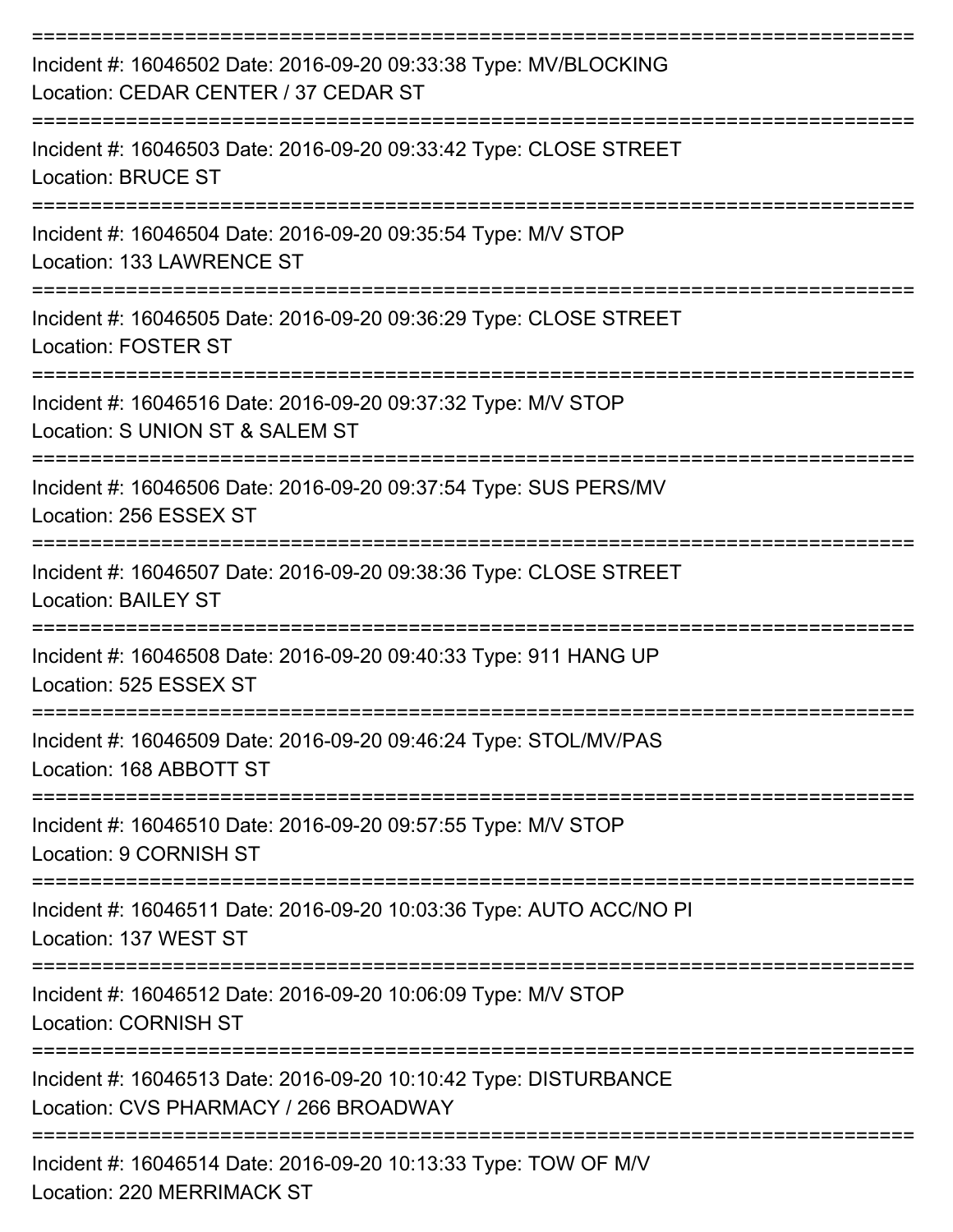| Incident #: 16046502 Date: 2016-09-20 09:33:38 Type: MV/BLOCKING<br>Location: CEDAR CENTER / 37 CEDAR ST                                    |
|---------------------------------------------------------------------------------------------------------------------------------------------|
| Incident #: 16046503 Date: 2016-09-20 09:33:42 Type: CLOSE STREET<br><b>Location: BRUCE ST</b>                                              |
| Incident #: 16046504 Date: 2016-09-20 09:35:54 Type: M/V STOP<br>Location: 133 LAWRENCE ST                                                  |
| Incident #: 16046505 Date: 2016-09-20 09:36:29 Type: CLOSE STREET<br>Location: FOSTER ST                                                    |
| Incident #: 16046516 Date: 2016-09-20 09:37:32 Type: M/V STOP<br>Location: S UNION ST & SALEM ST                                            |
| Incident #: 16046506 Date: 2016-09-20 09:37:54 Type: SUS PERS/MV<br>Location: 256 ESSEX ST                                                  |
| Incident #: 16046507 Date: 2016-09-20 09:38:36 Type: CLOSE STREET<br><b>Location: BAILEY ST</b>                                             |
| Incident #: 16046508 Date: 2016-09-20 09:40:33 Type: 911 HANG UP<br>Location: 525 ESSEX ST                                                  |
| Incident #: 16046509 Date: 2016-09-20 09:46:24 Type: STOL/MV/PAS<br>Location: 168 ABBOTT ST                                                 |
| Incident #: 16046510 Date: 2016-09-20 09:57:55 Type: M/V STOP<br>Location: 9 CORNISH ST                                                     |
| Incident #: 16046511 Date: 2016-09-20 10:03:36 Type: AUTO ACC/NO PI<br>Location: 137 WEST ST                                                |
| =====================<br>==================<br>Incident #: 16046512 Date: 2016-09-20 10:06:09 Type: M/V STOP<br><b>Location: CORNISH ST</b> |
| Incident #: 16046513 Date: 2016-09-20 10:10:42 Type: DISTURBANCE<br>Location: CVS PHARMACY / 266 BROADWAY                                   |
| Incident #: 16046514 Date: 2016-09-20 10:13:33 Type: TOW OF M/V                                                                             |

Location: 220 MERRIMACK ST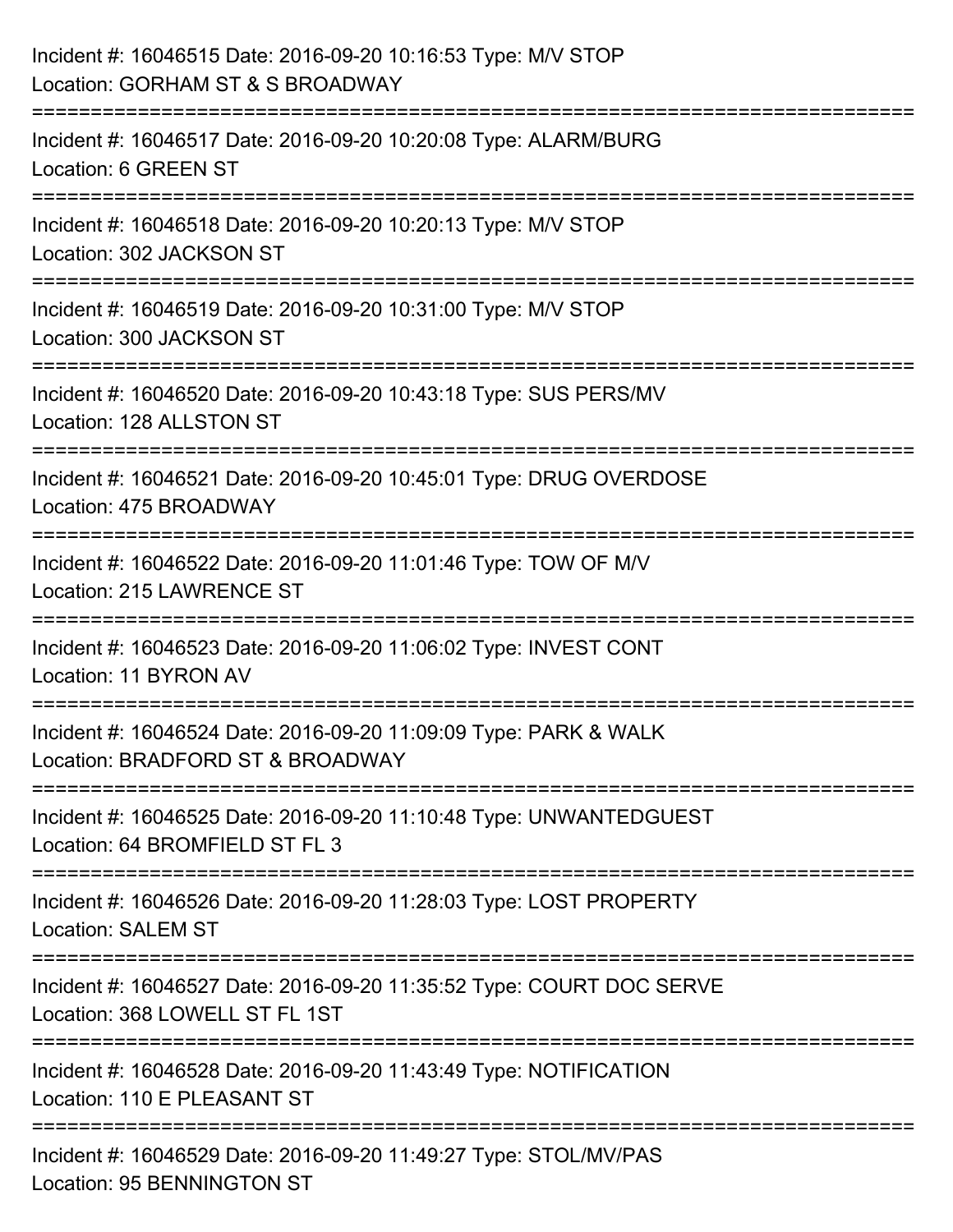| Incident #: 16046515 Date: 2016-09-20 10:16:53 Type: M/V STOP<br>Location: GORHAM ST & S BROADWAY               |
|-----------------------------------------------------------------------------------------------------------------|
| ====================<br>Incident #: 16046517 Date: 2016-09-20 10:20:08 Type: ALARM/BURG<br>Location: 6 GREEN ST |
| ==========<br>Incident #: 16046518 Date: 2016-09-20 10:20:13 Type: M/V STOP<br>Location: 302 JACKSON ST         |
| Incident #: 16046519 Date: 2016-09-20 10:31:00 Type: M/V STOP<br>Location: 300 JACKSON ST                       |
| Incident #: 16046520 Date: 2016-09-20 10:43:18 Type: SUS PERS/MV<br>Location: 128 ALLSTON ST                    |
| Incident #: 16046521 Date: 2016-09-20 10:45:01 Type: DRUG OVERDOSE<br>Location: 475 BROADWAY                    |
| Incident #: 16046522 Date: 2016-09-20 11:01:46 Type: TOW OF M/V<br>Location: 215 LAWRENCE ST                    |
| Incident #: 16046523 Date: 2016-09-20 11:06:02 Type: INVEST CONT<br>Location: 11 BYRON AV                       |
| Incident #: 16046524 Date: 2016-09-20 11:09:09 Type: PARK & WALK<br>Location: BRADFORD ST & BROADWAY            |
| Incident #: 16046525 Date: 2016-09-20 11:10:48 Type: UNWANTEDGUEST<br>Location: 64 BROMFIELD ST FL 3            |
| Incident #: 16046526 Date: 2016-09-20 11:28:03 Type: LOST PROPERTY<br><b>Location: SALEM ST</b>                 |
| Incident #: 16046527 Date: 2016-09-20 11:35:52 Type: COURT DOC SERVE<br>Location: 368 LOWELL ST FL 1ST          |
| Incident #: 16046528 Date: 2016-09-20 11:43:49 Type: NOTIFICATION<br>Location: 110 E PLEASANT ST                |
| Incident #: 16046529 Date: 2016-09-20 11:49:27 Type: STOL/MV/PAS<br><b>Location: 95 BENNINGTON ST</b>           |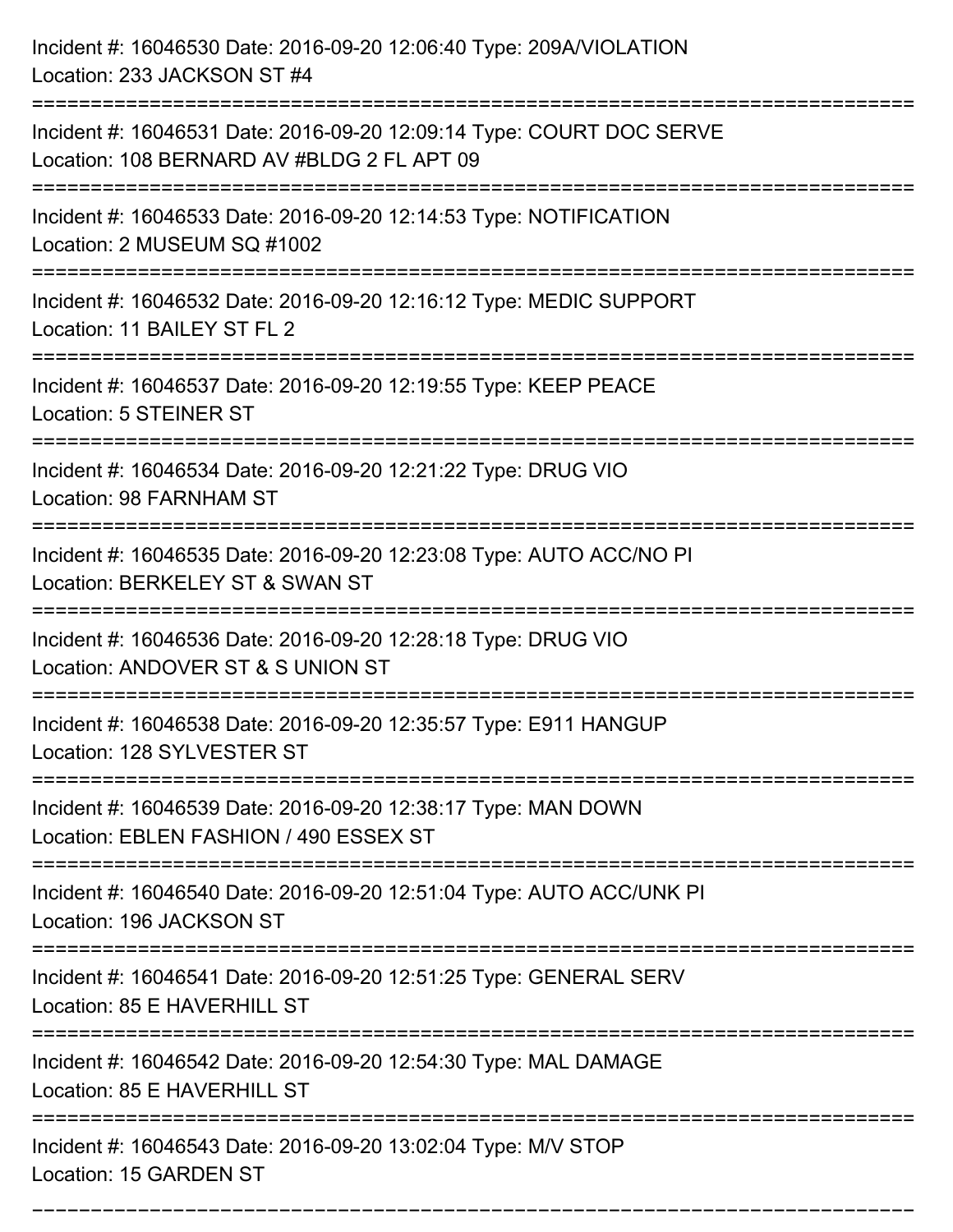| Incident #: 16046530 Date: 2016-09-20 12:06:40 Type: 209A/VIOLATION<br>Location: 233 JACKSON ST #4                      |
|-------------------------------------------------------------------------------------------------------------------------|
| Incident #: 16046531 Date: 2016-09-20 12:09:14 Type: COURT DOC SERVE<br>Location: 108 BERNARD AV #BLDG 2 FL APT 09      |
| Incident #: 16046533 Date: 2016-09-20 12:14:53 Type: NOTIFICATION<br>Location: 2 MUSEUM SQ #1002<br>:222222222222222222 |
| Incident #: 16046532 Date: 2016-09-20 12:16:12 Type: MEDIC SUPPORT<br>Location: 11 BAILEY ST FL 2                       |
| Incident #: 16046537 Date: 2016-09-20 12:19:55 Type: KEEP PEACE<br>Location: 5 STEINER ST                               |
| Incident #: 16046534 Date: 2016-09-20 12:21:22 Type: DRUG VIO<br>Location: 98 FARNHAM ST                                |
| Incident #: 16046535 Date: 2016-09-20 12:23:08 Type: AUTO ACC/NO PI<br>Location: BERKELEY ST & SWAN ST                  |
| Incident #: 16046536 Date: 2016-09-20 12:28:18 Type: DRUG VIO<br>Location: ANDOVER ST & S UNION ST                      |
| Incident #: 16046538 Date: 2016-09-20 12:35:57 Type: E911 HANGUP<br>Location: 128 SYLVESTER ST                          |
| Incident #: 16046539 Date: 2016-09-20 12:38:17 Type: MAN DOWN<br>Location: EBLEN FASHION / 490 ESSEX ST                 |
| Incident #: 16046540 Date: 2016-09-20 12:51:04 Type: AUTO ACC/UNK PI<br>Location: 196 JACKSON ST                        |
| Incident #: 16046541 Date: 2016-09-20 12:51:25 Type: GENERAL SERV<br>Location: 85 E HAVERHILL ST                        |
| Incident #: 16046542 Date: 2016-09-20 12:54:30 Type: MAL DAMAGE<br>Location: 85 E HAVERHILL ST<br>---------------       |
| Incident #: 16046543 Date: 2016-09-20 13:02:04 Type: M/V STOP<br>Location: 15 GARDEN ST                                 |

===========================================================================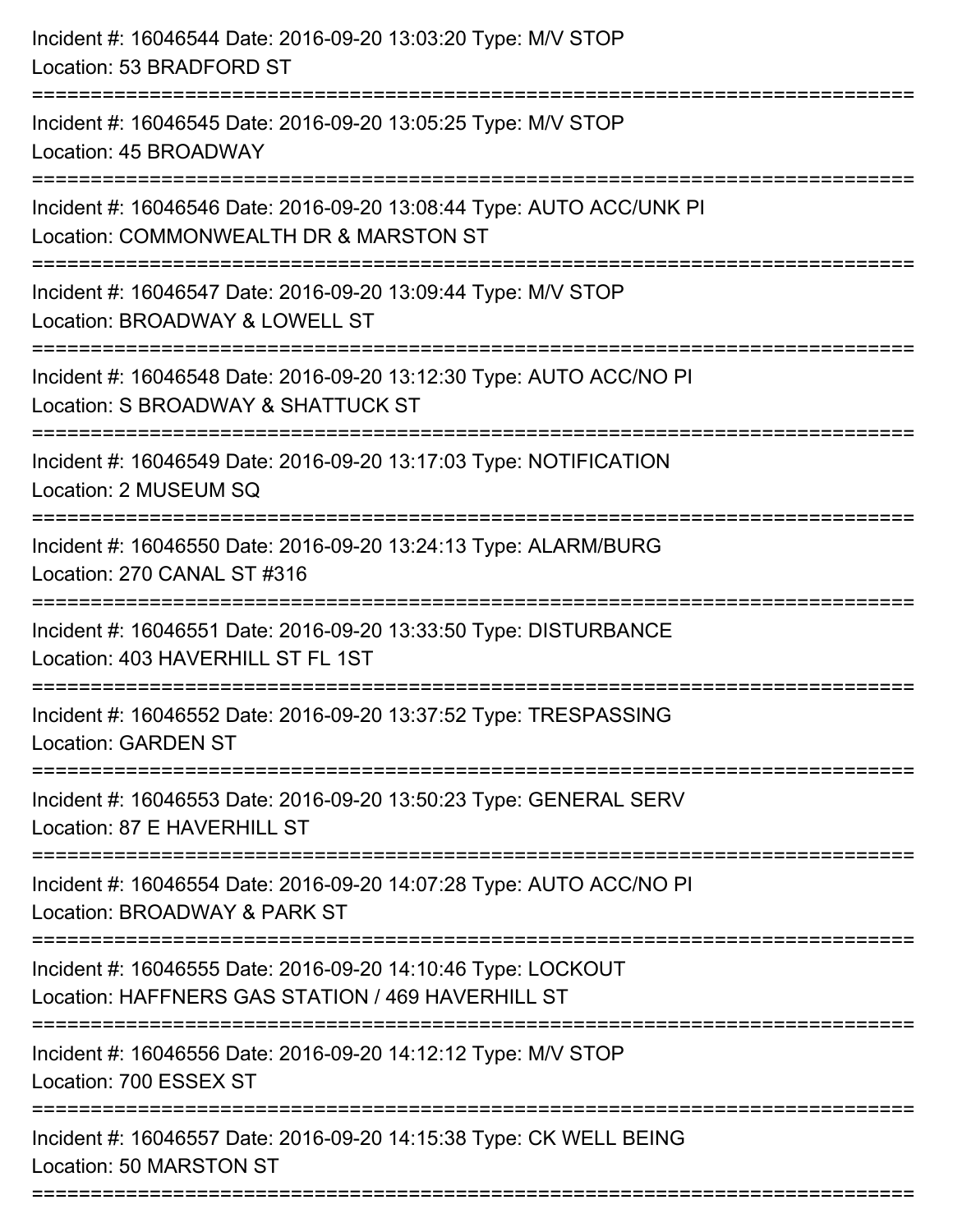| Incident #: 16046544 Date: 2016-09-20 13:03:20 Type: M/V STOP<br>Location: 53 BRADFORD ST                                                                        |
|------------------------------------------------------------------------------------------------------------------------------------------------------------------|
| Incident #: 16046545 Date: 2016-09-20 13:05:25 Type: M/V STOP<br>Location: 45 BROADWAY                                                                           |
| Incident #: 16046546 Date: 2016-09-20 13:08:44 Type: AUTO ACC/UNK PI<br>Location: COMMONWEALTH DR & MARSTON ST<br>===========================<br>--------------- |
| Incident #: 16046547 Date: 2016-09-20 13:09:44 Type: M/V STOP<br>Location: BROADWAY & LOWELL ST                                                                  |
| Incident #: 16046548 Date: 2016-09-20 13:12:30 Type: AUTO ACC/NO PI<br>Location: S BROADWAY & SHATTUCK ST<br>----------------                                    |
| Incident #: 16046549 Date: 2016-09-20 13:17:03 Type: NOTIFICATION<br>Location: 2 MUSEUM SQ                                                                       |
| Incident #: 16046550 Date: 2016-09-20 13:24:13 Type: ALARM/BURG<br>Location: 270 CANAL ST #316                                                                   |
| Incident #: 16046551 Date: 2016-09-20 13:33:50 Type: DISTURBANCE<br>Location: 403 HAVERHILL ST FL 1ST                                                            |
| Incident #: 16046552 Date: 2016-09-20 13:37:52 Type: TRESPASSING<br>Location: GARDEN ST                                                                          |
| Incident #: 16046553 Date: 2016-09-20 13:50:23 Type: GENERAL SERV<br>Location: 87 E HAVERHILL ST                                                                 |
| Incident #: 16046554 Date: 2016-09-20 14:07:28 Type: AUTO ACC/NO PI<br>Location: BROADWAY & PARK ST                                                              |
| Incident #: 16046555 Date: 2016-09-20 14:10:46 Type: LOCKOUT<br>Location: HAFFNERS GAS STATION / 469 HAVERHILL ST                                                |
| Incident #: 16046556 Date: 2016-09-20 14:12:12 Type: M/V STOP<br>Location: 700 ESSEX ST                                                                          |
| Incident #: 16046557 Date: 2016-09-20 14:15:38 Type: CK WELL BEING<br>Location: 50 MARSTON ST                                                                    |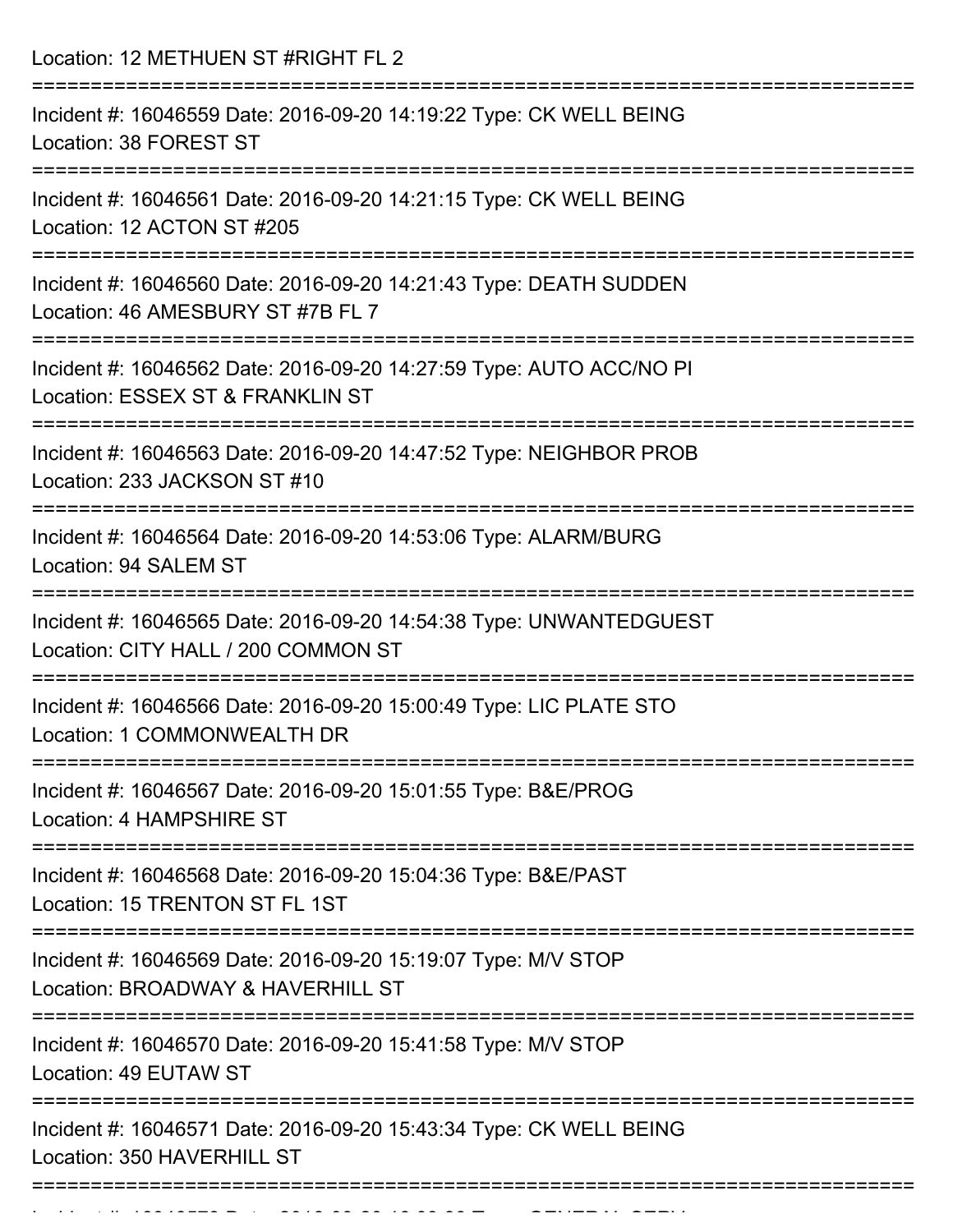Location: 12 METHUEN ST #RIGHT FL 2

| Incident #: 16046559 Date: 2016-09-20 14:19:22 Type: CK WELL BEING<br>Location: 38 FOREST ST                   |
|----------------------------------------------------------------------------------------------------------------|
| Incident #: 16046561 Date: 2016-09-20 14:21:15 Type: CK WELL BEING<br>Location: 12 ACTON ST #205               |
| Incident #: 16046560 Date: 2016-09-20 14:21:43 Type: DEATH SUDDEN<br>Location: 46 AMESBURY ST #7B FL 7         |
| Incident #: 16046562 Date: 2016-09-20 14:27:59 Type: AUTO ACC/NO PI<br>Location: ESSEX ST & FRANKLIN ST        |
| Incident #: 16046563 Date: 2016-09-20 14:47:52 Type: NEIGHBOR PROB<br>Location: 233 JACKSON ST #10             |
| Incident #: 16046564 Date: 2016-09-20 14:53:06 Type: ALARM/BURG<br>Location: 94 SALEM ST                       |
| Incident #: 16046565 Date: 2016-09-20 14:54:38 Type: UNWANTEDGUEST<br>Location: CITY HALL / 200 COMMON ST      |
| Incident #: 16046566 Date: 2016-09-20 15:00:49 Type: LIC PLATE STO<br>Location: 1 COMMONWEALTH DR              |
| =================<br>Incident #: 16046567 Date: 2016-09-20 15:01:55 Type: B&E/PROG<br>Location: 4 HAMPSHIRE ST |
| Incident #: 16046568 Date: 2016-09-20 15:04:36 Type: B&E/PAST<br>Location: 15 TRENTON ST FL 1ST                |
| Incident #: 16046569 Date: 2016-09-20 15:19:07 Type: M/V STOP<br>Location: BROADWAY & HAVERHILL ST             |
| Incident #: 16046570 Date: 2016-09-20 15:41:58 Type: M/V STOP<br>Location: 49 EUTAW ST                         |
| Incident #: 16046571 Date: 2016-09-20 15:43:34 Type: CK WELL BEING<br>Location: 350 HAVERHILL ST               |
|                                                                                                                |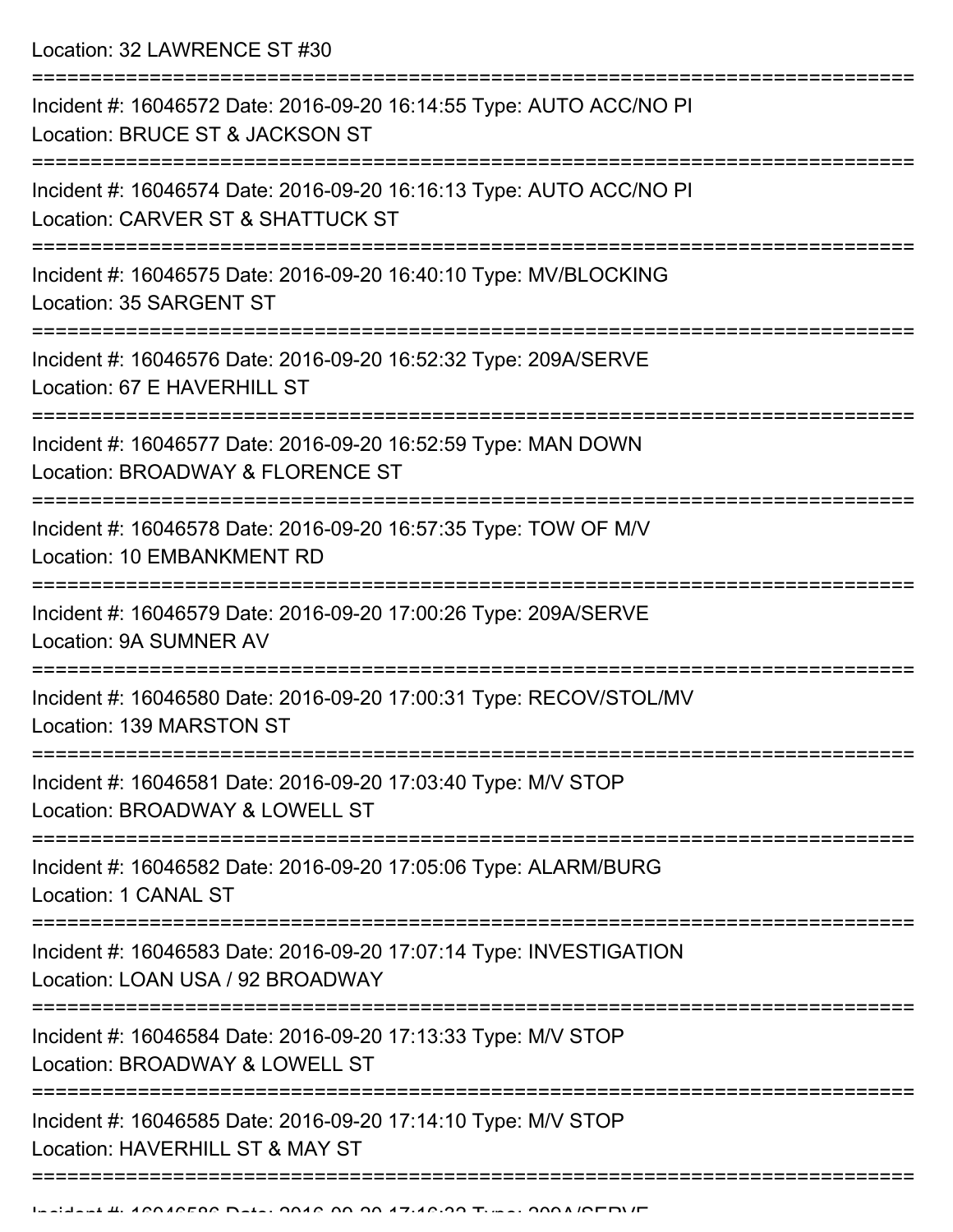Location: 32 LAWRENCE ST #30

| Incident #: 16046572 Date: 2016-09-20 16:14:55 Type: AUTO ACC/NO PI<br>Location: BRUCE ST & JACKSON ST   |
|----------------------------------------------------------------------------------------------------------|
| Incident #: 16046574 Date: 2016-09-20 16:16:13 Type: AUTO ACC/NO PI<br>Location: CARVER ST & SHATTUCK ST |
| Incident #: 16046575 Date: 2016-09-20 16:40:10 Type: MV/BLOCKING<br>Location: 35 SARGENT ST              |
| Incident #: 16046576 Date: 2016-09-20 16:52:32 Type: 209A/SERVE<br>Location: 67 E HAVERHILL ST           |
| Incident #: 16046577 Date: 2016-09-20 16:52:59 Type: MAN DOWN<br>Location: BROADWAY & FLORENCE ST        |
| Incident #: 16046578 Date: 2016-09-20 16:57:35 Type: TOW OF M/V<br>Location: 10 EMBANKMENT RD            |
| Incident #: 16046579 Date: 2016-09-20 17:00:26 Type: 209A/SERVE<br>Location: 9A SUMNER AV                |
| Incident #: 16046580 Date: 2016-09-20 17:00:31 Type: RECOV/STOL/MV<br>Location: 139 MARSTON ST           |
| Incident #: 16046581 Date: 2016-09-20 17:03:40 Type: M/V STOP<br>Location: BROADWAY & LOWELL ST          |
| Incident #: 16046582 Date: 2016-09-20 17:05:06 Type: ALARM/BURG<br>Location: 1 CANAL ST                  |
| Incident #: 16046583 Date: 2016-09-20 17:07:14 Type: INVESTIGATION<br>Location: LOAN USA / 92 BROADWAY   |
| Incident #: 16046584 Date: 2016-09-20 17:13:33 Type: M/V STOP<br>Location: BROADWAY & LOWELL ST          |
| Incident #: 16046585 Date: 2016-09-20 17:14:10 Type: M/V STOP<br>Location: HAVERHILL ST & MAY ST         |
|                                                                                                          |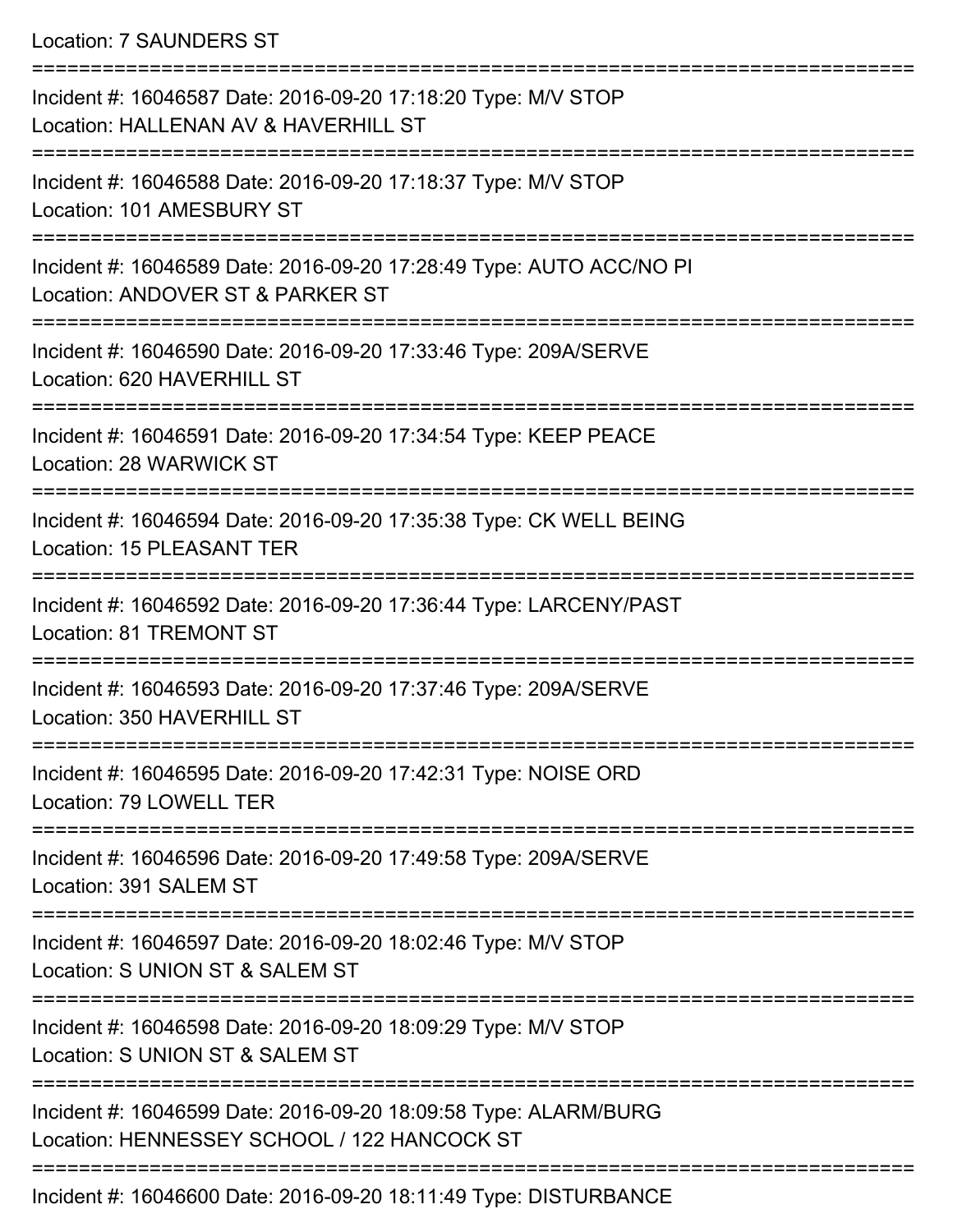Location: 7 SAUNDERS ST

| Incident #: 16046587 Date: 2016-09-20 17:18:20 Type: M/V STOP<br>Location: HALLENAN AV & HAVERHILL ST          |
|----------------------------------------------------------------------------------------------------------------|
| Incident #: 16046588 Date: 2016-09-20 17:18:37 Type: M/V STOP<br>Location: 101 AMESBURY ST                     |
| Incident #: 16046589 Date: 2016-09-20 17:28:49 Type: AUTO ACC/NO PI<br>Location: ANDOVER ST & PARKER ST        |
| Incident #: 16046590 Date: 2016-09-20 17:33:46 Type: 209A/SERVE<br>Location: 620 HAVERHILL ST                  |
| Incident #: 16046591 Date: 2016-09-20 17:34:54 Type: KEEP PEACE<br>Location: 28 WARWICK ST                     |
| Incident #: 16046594 Date: 2016-09-20 17:35:38 Type: CK WELL BEING<br><b>Location: 15 PLEASANT TER</b>         |
| Incident #: 16046592 Date: 2016-09-20 17:36:44 Type: LARCENY/PAST<br><b>Location: 81 TREMONT ST</b>            |
| Incident #: 16046593 Date: 2016-09-20 17:37:46 Type: 209A/SERVE<br>Location: 350 HAVERHILL ST                  |
| Incident #: 16046595 Date: 2016-09-20 17:42:31 Type: NOISE ORD<br>Location: 79 LOWELL TER                      |
| Incident #: 16046596 Date: 2016-09-20 17:49:58 Type: 209A/SERVE<br>Location: 391 SALEM ST                      |
| Incident #: 16046597 Date: 2016-09-20 18:02:46 Type: M/V STOP<br>Location: S UNION ST & SALEM ST               |
| Incident #: 16046598 Date: 2016-09-20 18:09:29 Type: M/V STOP<br>Location: S UNION ST & SALEM ST               |
| Incident #: 16046599 Date: 2016-09-20 18:09:58 Type: ALARM/BURG<br>Location: HENNESSEY SCHOOL / 122 HANCOCK ST |
| Incident #: 16046600 Date: 2016-09-20 18:11:49 Type: DISTURBANCE                                               |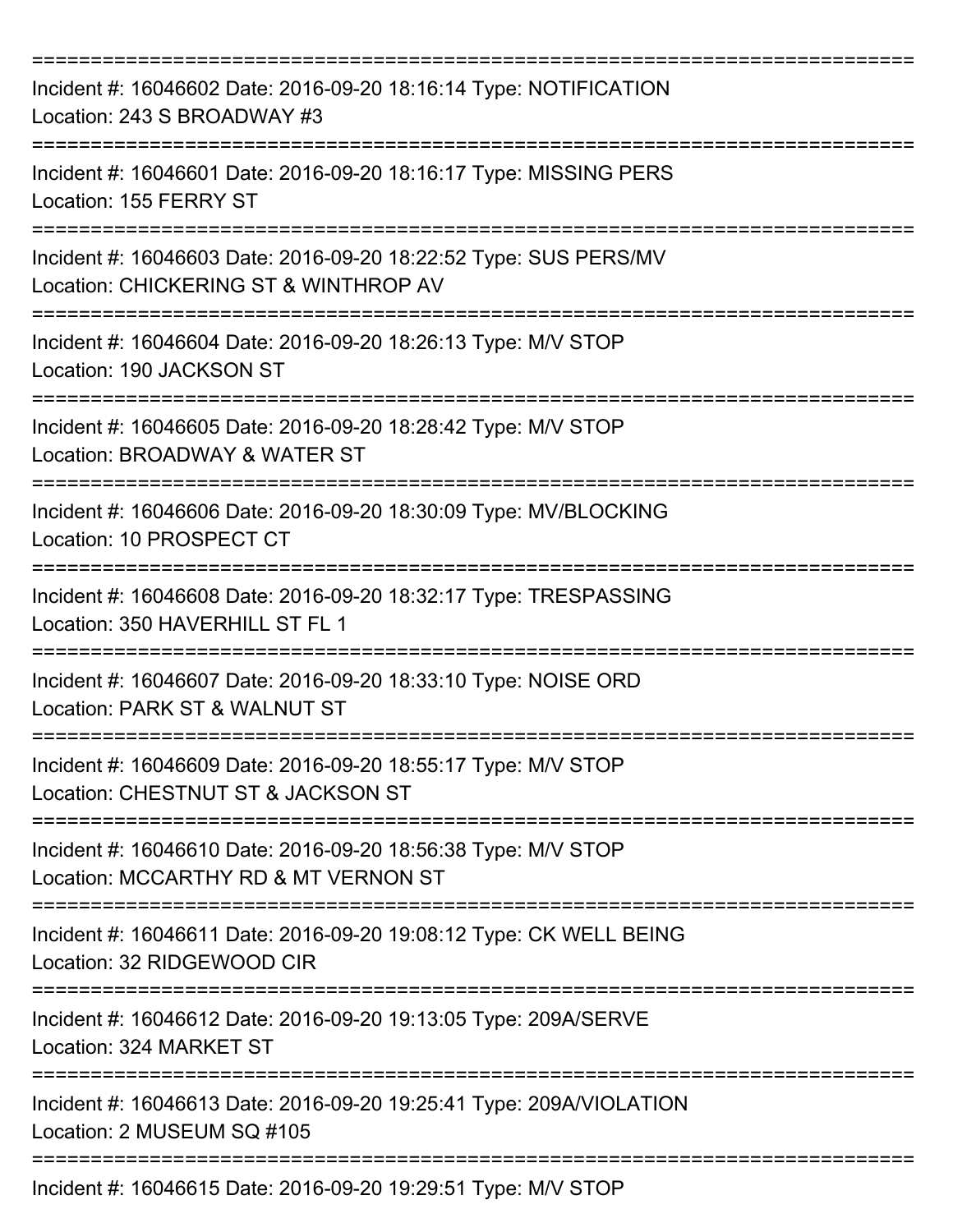| Incident #: 16046602 Date: 2016-09-20 18:16:14 Type: NOTIFICATION<br>Location: 243 S BROADWAY #3          |
|-----------------------------------------------------------------------------------------------------------|
| Incident #: 16046601 Date: 2016-09-20 18:16:17 Type: MISSING PERS<br>Location: 155 FERRY ST               |
| Incident #: 16046603 Date: 2016-09-20 18:22:52 Type: SUS PERS/MV<br>Location: CHICKERING ST & WINTHROP AV |
| Incident #: 16046604 Date: 2016-09-20 18:26:13 Type: M/V STOP<br>Location: 190 JACKSON ST                 |
| Incident #: 16046605 Date: 2016-09-20 18:28:42 Type: M/V STOP<br>Location: BROADWAY & WATER ST            |
| Incident #: 16046606 Date: 2016-09-20 18:30:09 Type: MV/BLOCKING<br>Location: 10 PROSPECT CT              |
| Incident #: 16046608 Date: 2016-09-20 18:32:17 Type: TRESPASSING<br>Location: 350 HAVERHILL ST FL 1       |
| Incident #: 16046607 Date: 2016-09-20 18:33:10 Type: NOISE ORD<br>Location: PARK ST & WALNUT ST           |
| Incident #: 16046609 Date: 2016-09-20 18:55:17 Type: M/V STOP<br>Location: CHESTNUT ST & JACKSON ST       |
| Incident #: 16046610 Date: 2016-09-20 18:56:38 Type: M/V STOP<br>Location: MCCARTHY RD & MT VERNON ST     |
| Incident #: 16046611 Date: 2016-09-20 19:08:12 Type: CK WELL BEING<br>Location: 32 RIDGEWOOD CIR          |
| Incident #: 16046612 Date: 2016-09-20 19:13:05 Type: 209A/SERVE<br>Location: 324 MARKET ST                |
| Incident #: 16046613 Date: 2016-09-20 19:25:41 Type: 209A/VIOLATION<br>Location: 2 MUSEUM SQ #105         |
| Incident #: 16046615 Date: 2016-09-20 19:29:51 Type: M/V STOP                                             |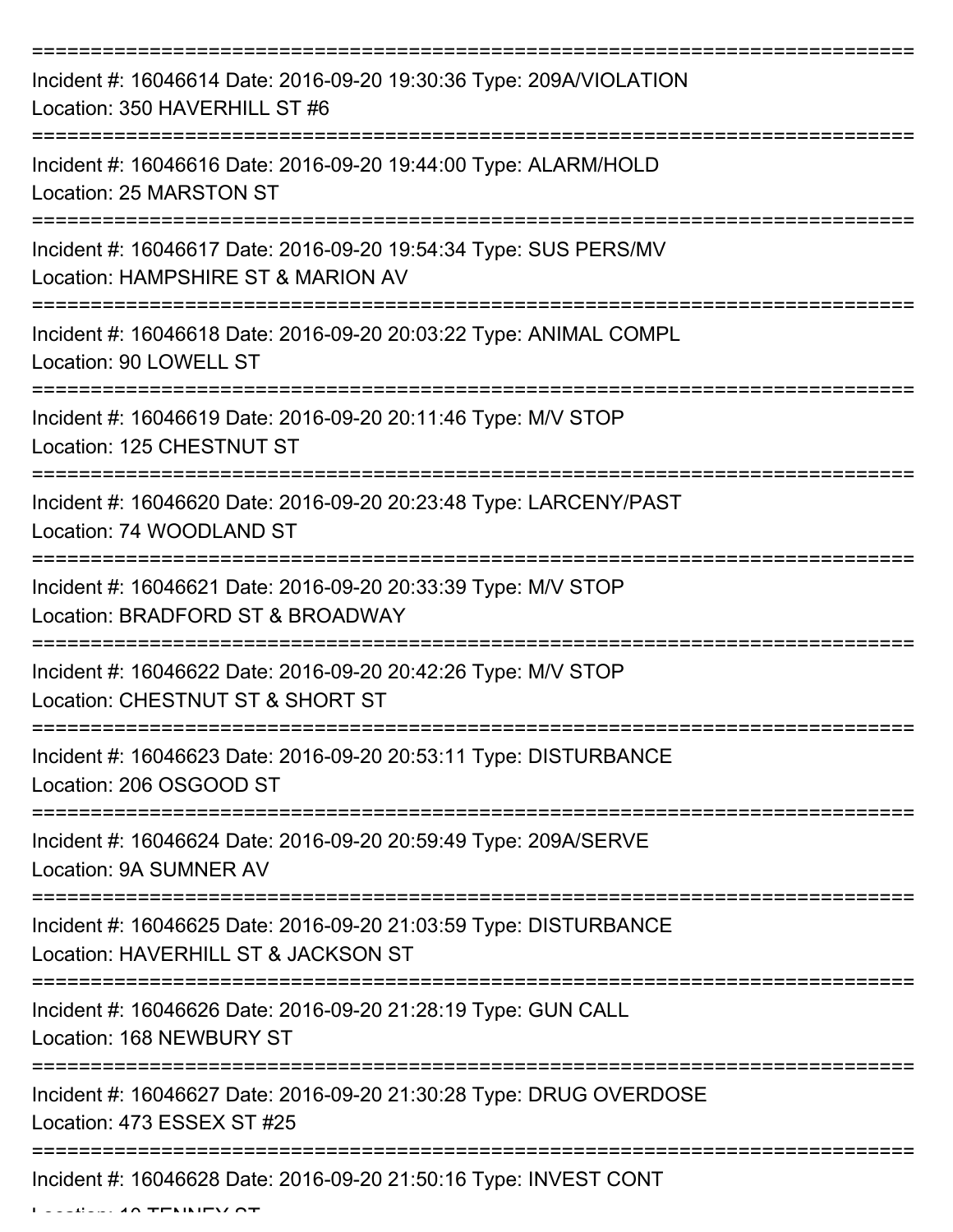| Incident #: 16046614 Date: 2016-09-20 19:30:36 Type: 209A/VIOLATION<br>Location: 350 HAVERHILL ST #6                         |
|------------------------------------------------------------------------------------------------------------------------------|
| Incident #: 16046616 Date: 2016-09-20 19:44:00 Type: ALARM/HOLD<br>Location: 25 MARSTON ST                                   |
| Incident #: 16046617 Date: 2016-09-20 19:54:34 Type: SUS PERS/MV<br>Location: HAMPSHIRE ST & MARION AV                       |
| Incident #: 16046618 Date: 2016-09-20 20:03:22 Type: ANIMAL COMPL<br>Location: 90 LOWELL ST                                  |
| Incident #: 16046619 Date: 2016-09-20 20:11:46 Type: M/V STOP<br>Location: 125 CHESTNUT ST                                   |
| Incident #: 16046620 Date: 2016-09-20 20:23:48 Type: LARCENY/PAST<br>Location: 74 WOODLAND ST                                |
| =======================<br>Incident #: 16046621 Date: 2016-09-20 20:33:39 Type: M/V STOP<br>Location: BRADFORD ST & BROADWAY |
| Incident #: 16046622 Date: 2016-09-20 20:42:26 Type: M/V STOP<br>Location: CHESTNUT ST & SHORT ST                            |
| Incident #: 16046623 Date: 2016-09-20 20:53:11 Type: DISTURBANCE<br>Location: 206 OSGOOD ST                                  |
| Incident #: 16046624 Date: 2016-09-20 20:59:49 Type: 209A/SERVE<br>Location: 9A SUMNER AV                                    |
| Incident #: 16046625 Date: 2016-09-20 21:03:59 Type: DISTURBANCE<br>Location: HAVERHILL ST & JACKSON ST                      |
| Incident #: 16046626 Date: 2016-09-20 21:28:19 Type: GUN CALL<br>Location: 168 NEWBURY ST                                    |
| Incident #: 16046627 Date: 2016-09-20 21:30:28 Type: DRUG OVERDOSE<br>Location: 473 ESSEX ST #25                             |
| Incident #: 16046628 Date: 2016-09-20 21:50:16 Type: INVEST CONT                                                             |

 $L$ ....  $10 - T$ ENINEY ST